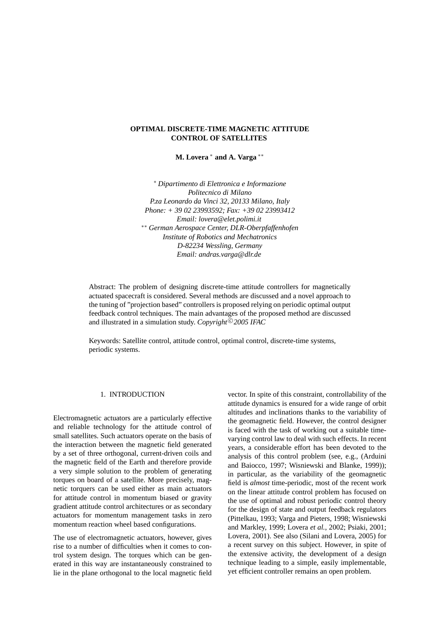# **OPTIMAL DISCRETE-TIME MAGNETIC ATTITUDE CONTROL OF SATELLITES**

**M. Lovera** <sup>∗</sup> **and A. Varga** ∗∗

<sup>∗</sup> *Dipartimento di Elettronica e Informazione Politecnico di Milano P.za Leonardo da Vinci 32, 20133 Milano, Italy Phone: + 39 02 23993592; Fax: +39 02 23993412 Email: lovera@elet.polimi.it* ∗∗ *German Aerospace Center, DLR-Oberpfaffenhofen Institute of Robotics and Mechatronics D-82234 Wessling, Germany Email: andras.varga@dlr.de*

Abstract: The problem of designing discrete-time attitude controllers for magnetically actuated spacecraft is considered. Several methods are discussed and a novel approach to the tuning of "projection based" controllers is proposed relying on periodic optimal output feedback control techniques. The main advantages of the proposed method are discussed and illustrated in a simulation study. *Copyright*<sup>©</sup>2005 *IFAC* 

Keywords: Satellite control, attitude control, optimal control, discrete-time systems, periodic systems.

# 1. INTRODUCTION

Electromagnetic actuators are a particularly effective and reliable technology for the attitude control of small satellites. Such actuators operate on the basis of the interaction between the magnetic field generated by a set of three orthogonal, current-driven coils and the magnetic field of the Earth and therefore provide a very simple solution to the problem of generating torques on board of a satellite. More precisely, magnetic torquers can be used either as main actuators for attitude control in momentum biased or gravity gradient attitude control architectures or as secondary actuators for momentum management tasks in zero momentum reaction wheel based configurations.

The use of electromagnetic actuators, however, gives rise to a number of difficulties when it comes to control system design. The torques which can be generated in this way are instantaneously constrained to lie in the plane orthogonal to the local magnetic field vector. In spite of this constraint, controllability of the attitude dynamics is ensured for a wide range of orbit altitudes and inclinations thanks to the variability of the geomagnetic field. However, the control designer is faced with the task of working out a suitable timevarying control law to deal with such effects. In recent years, a considerable effort has been devoted to the analysis of this control problem (see, e.g., (Arduini and Baiocco, 1997; Wisniewski and Blanke, 1999)); in particular, as the variability of the geomagnetic field is *almost* time-periodic, most of the recent work on the linear attitude control problem has focused on the use of optimal and robust periodic control theory for the design of state and output feedback regulators (Pittelkau, 1993; Varga and Pieters, 1998; Wisniewski and Markley, 1999; Lovera *et al.*, 2002; Psiaki, 2001; Lovera, 2001). See also (Silani and Lovera, 2005) for a recent survey on this subject. However, in spite of the extensive activity, the development of a design technique leading to a simple, easily implementable, yet efficient controller remains an open problem.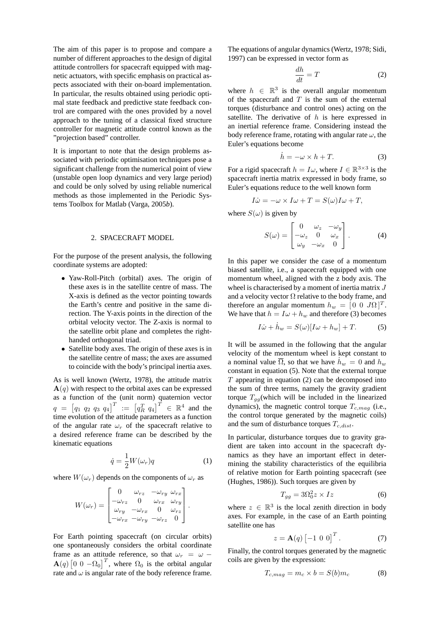The aim of this paper is to propose and compare a number of different approaches to the design of digital attitude controllers for spacecraft equipped with magnetic actuators, with specific emphasis on practical aspects associated with their on-board implementation. In particular, the results obtained using periodic optimal state feedback and predictive state feedback control are compared with the ones provided by a novel approach to the tuning of a classical fixed structure controller for magnetic attitude control known as the "projection based" controller.

It is important to note that the design problems associated with periodic optimisation techniques pose a significant challenge from the numerical point of view (unstable open loop dynamics and very large period) and could be only solved by using reliable numerical methods as those implemented in the Periodic Systems Toolbox for Matlab (Varga, 2005*b*).

## 2. SPACECRAFT MODEL

For the purpose of the present analysis, the following coordinate systems are adopted:

- Yaw-Roll-Pitch (orbital) axes. The origin of these axes is in the satellite centre of mass. The X-axis is defined as the vector pointing towards the Earth's centre and positive in the same direction. The Y-axis points in the direction of the orbital velocity vector. The Z-axis is normal to the satellite orbit plane and completes the righthanded orthogonal triad.
- Satellite body axes. The origin of these axes is in the satellite centre of mass; the axes are assumed to coincide with the body's principal inertia axes.

As is well known (Wertz, 1978), the attitude matrix  $A(q)$  with respect to the orbital axes can be expressed as a function of the (unit norm) quaternion vector  $q \; = \; \begin{bmatrix} q_1 \; q_2 \; q_3 \; q_4 \end{bmatrix}^T \; := \; \begin{bmatrix} q_R^T \; q_4 \end{bmatrix}^T \; \in \; \mathbb{R}^4$  and the time evolution of the attitude parameters as a function of the angular rate  $\omega_r$  of the spacecraft relative to a desired reference frame can be described by the kinematic equations

$$
\dot{q} = \frac{1}{2}W(\omega_r)q\tag{1}
$$

where  $W(\omega_r)$  depends on the components of  $\omega_r$  as

$$
W(\omega_r) = \begin{bmatrix} 0 & \omega_{rz} & -\omega_{ry} & \omega_{rx} \\ -\omega_{rz} & 0 & \omega_{rx} & \omega_{ry} \\ \omega_{ry} & -\omega_{rx} & 0 & \omega_{rz} \\ -\omega_{rx} & -\omega_{ry} & -\omega_{rz} & 0 \end{bmatrix}.
$$

For Earth pointing spacecraft (on circular orbits) one spontaneously considers the orbital coordinate frame as an attitude reference, so that  $\omega_r = \omega$  –  $\mathbf{A}(q)$   $\begin{bmatrix} 0 & 0 & -\Omega_0 \end{bmatrix}^T$ , where  $\Omega_0$  is the orbital angular rate and  $\omega$  is angular rate of the body reference frame. The equations of angular dynamics (Wertz, 1978; Sidi, 1997) can be expressed in vector form as

$$
\frac{dh}{dt} = T \tag{2}
$$

where  $h \in \mathbb{R}^3$  is the overall angular momentum of the spacecraft and  $T$  is the sum of the external torques (disturbance and control ones) acting on the satellite. The derivative of  $h$  is here expressed in an inertial reference frame. Considering instead the body reference frame, rotating with angular rate  $\omega$ , the Euler's equations become

$$
\dot{h} = -\omega \times h + T. \tag{3}
$$

For a rigid spacecraft  $h = I\omega$ , where  $I \in \mathbb{R}^{3 \times 3}$  is the spacecraft inertia matrix expressed in body frame, so Euler's equations reduce to the well known form

$$
I\dot{\omega} = -\omega \times I\omega + T = S(\omega)I\omega + T,
$$

where  $S(\omega)$  is given by

$$
S(\omega) = \begin{bmatrix} 0 & \omega_z & -\omega_y \\ -\omega_z & 0 & \omega_x \\ \omega_y & -\omega_x & 0 \end{bmatrix} . \tag{4}
$$

In this paper we consider the case of a momentum biased satellite, i.e., a spacecraft equipped with one momentum wheel, aligned with the z body axis. The wheel is characterised by a moment of inertia matrix J and a velocity vector  $\Omega$  relative to the body frame, and therefore an angular momentum  $h_w = [0 \ 0 \ J\Omega]^T$ . We have that  $h = I\omega + h_w$  and therefore (3) becomes

$$
I\dot{\omega} + \dot{h}_w = S(\omega)[I\omega + h_w] + T.
$$
 (5)

It will be assumed in the following that the angular velocity of the momentum wheel is kept constant to a nominal value  $\overline{\Omega}$ , so that we have  $h_w = 0$  and  $h_w$ constant in equation (5). Note that the external torque  $T$  appearing in equation (2) can be decomposed into the sum of three terms, namely the gravity gradient torque  $T_{qq}$ (which will be included in the linearized dynamics), the magnetic control torque  $T_{c,maq}$  (i.e., the control torque generated by the magnetic coils) and the sum of disturbance torques  $T_{c,dist}$ .

In particular, disturbance torques due to gravity gradient are taken into account in the spacecraft dynamics as they have an important effect in determining the stability characteristics of the equilibria of relative motion for Earth pointing spacecraft (see (Hughes, 1986)). Such torques are given by

$$
T_{gg} = 3\Omega_0^2 z \times Iz \tag{6}
$$

where  $z \in \mathbb{R}^3$  is the local zenith direction in body axes. For example, in the case of an Earth pointing satellite one has

$$
z = \mathbf{A}(q) \begin{bmatrix} -1 & 0 & 0 \end{bmatrix}^T. \tag{7}
$$

Finally, the control torques generated by the magnetic coils are given by the expression:

$$
T_{c,mag} = m_c \times b = S(b)m_c \tag{8}
$$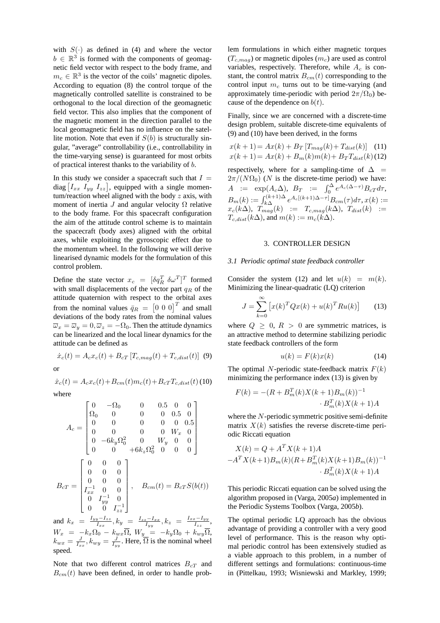with  $S(\cdot)$  as defined in (4) and where the vector  $b \in \mathbb{R}^3$  is formed with the components of geomagnetic field vector with respect to the body frame, and  $m_c \in \mathbb{R}^3$  is the vector of the coils' magnetic dipoles. According to equation (8) the control torque of the magnetically controlled satellite is constrained to be orthogonal to the local direction of the geomagnetic field vector. This also implies that the component of the magnetic moment in the direction parallel to the local geomagnetic field has no influence on the satellite motion. Note that even if  $S(b)$  is structurally singular, "average" controllability (i.e., controllability in the time-varying sense) is guaranteed for most orbits of practical interest thanks to the variability of b.

In this study we consider a spacecraft such that  $I =$ diag  $[I_{xx} I_{yy} I_{zz}]$ , equipped with a single momentum/reaction wheel aligned with the body  $z$  axis, with moment of inertia J and angular velocity  $\Omega$  relative to the body frame. For this spacecraft configuration the aim of the attitude control scheme is to maintain the spacecraft (body axes) aligned with the orbital axes, while exploiting the gyroscopic effect due to the momentum wheel. In the following we will derive linearised dynamic models for the formulation of this control problem.

Define the state vector  $x_c = [\delta q_R^T \delta \omega^T]^T$  formed with small displacements of the vector part  $q_R$  of the attitude quaternion with respect to the orbital axes from the nominal values  $\bar{q}_R = \begin{bmatrix} 0 & 0 & 0 \end{bmatrix}^T$  and small deviations of the body rates from the nominal values  $\overline{\omega}_x = \overline{\omega}_y = 0, \overline{\omega}_z = -\Omega_0$ . Then the attitude dynamics can be linearized and the local linear dynamics for the attitude can be defined as

$$
\dot{x}_c(t) = A_c x_c(t) + B_{cT} [T_{c,mag}(t) + T_{c,dist}(t)] \tag{9}
$$

or

 $\dot{x}_c(t) = A_c x_c(t) + B_{cm}(t) m_c(t) + B_c T_{c,dist}(t)$ (10) where

$$
A_c = \begin{bmatrix} 0 & -\Omega_0 & 0 & 0.5 & 0 & 0 \\ \Omega_0 & 0 & 0 & 0 & 0.5 & 0 \\ 0 & 0 & 0 & 0 & 0 & 0.5 \\ 0 & 0 & 0 & 0 & 0 & W_x & 0 \\ 0 & -6k_y\Omega_0^2 & 0 & W_y & 0 & 0 \\ 0 & 0 & +6k_z\Omega_0^2 & 0 & 0 & 0 \end{bmatrix}
$$

$$
B_{cT} = \begin{bmatrix} 0 & 0 & 0 \\ 0 & 0 & 0 \\ 0 & 0 & 0 \\ I_{xx}^{-1} & 0 & 0 \\ 0 & I_{yy}^{-1} & 0 \\ 0 & 0 & I_{zz}^{-1} \end{bmatrix}, \quad B_{cm}(t) = B_{cT}S(b(t))
$$

and  $k_x = \frac{I_{yy}-I_{zz}}{I_{zz}}$  $\frac{I_{y} - I_{zz}}{I_{xx}}, k_{y} = \frac{I_{zz} - I_{xx}}{I_{yy}}, k_{z} = \frac{I_{xx} - I_{yy}}{I_{zz}}$  $\frac{x-I_{yy}}{I_{zz}},$  $W_x = -k_x \Omega_0 - k_{wx} \Omega$ ,  $W_y = -k_y \Omega_0 + k_{wy} \Omega$ ,  $k_{wx} = \frac{J}{I_{xx}}$ ,  $k_{wy} = \frac{J}{I_{yy}}$ . Here,  $\overline{\Omega}$  is the nominal wheel speed.

Note that two different control matrices  $B_{cT}$  and  $B_{cm}(t)$  have been defined, in order to handle problem formulations in which either magnetic torques  $(T_{c,maq})$  or magnetic dipoles  $(m_c)$  are used as control variables, respectively. Therefore, while  $A_c$  is constant, the control matrix  $B_{cm}(t)$  corresponding to the control input  $m<sub>c</sub>$  turns out to be time-varying (and approximately time-periodic with period  $2\pi/\Omega_0$ ) because of the dependence on  $b(t)$ .

Finally, since we are concerned with a discrete-time design problem, suitable discrete-time equivalents of (9) and (10) have been derived, in the forms

$$
x(k + 1) = Ax(k) + B_T [T_{mag}(k) + T_{dist}(k)] \quad (11)
$$
  

$$
x(k + 1) = Ax(k) + B_m(k)m(k) + B_T T_{dist}(k) \quad (12)
$$

respectively, where for a sampling-time of  $\Delta$  =  $2\pi/(N\Omega_0)$  (*N* is the discrete-time period) we have:  $A$  :=  $\exp(A_c \Delta)$ ,  $B_T$  :=  $\int_0^{\Delta} e^{A_c(\Delta - \tau)} B_{cT} d\tau$ ,  $B_m(k) := \int_{k\Delta}^{(k+1)\Delta} e^{A_c[(k+1)\Delta - \tau]} B_{cm}(\tau) d\tau, x(k) :=$  $x_c(k\Delta), T_{mag}(k) := T_{c, mag}(k\Delta), T_{dist}(k) :=$  $T_{c,dist}(k\Delta)$ , and  $m(k) := m_c(k\Delta)$ .

## 3. CONTROLLER DESIGN

## *3.1 Periodic optimal state feedback controller*

Consider the system (12) and let  $u(k) = m(k)$ . Minimizing the linear-quadratic (LQ) criterion

$$
J = \sum_{k=0}^{\infty} \left[ x(k)^T Q x(k) + u(k)^T R u(k) \right]
$$
 (13)

where  $Q \geq 0$ ,  $R > 0$  are symmetric matrices, is an attractive method to determine stabilizing periodic state feedback controllers of the form

$$
u(k) = F(k)x(k) \tag{14}
$$

The optimal N-periodic state-feedback matrix  $F(k)$ minimizing the performance index (13) is given by

$$
F(k) = -(R + B_m^T(k)X(k+1)B_m(k))^{-1}
$$
  
 
$$
\cdot B_m^T(k)X(k+1)A
$$

where the N-periodic symmetric positive semi-definite matrix  $X(k)$  satisfies the reverse discrete-time periodic Riccati equation

$$
X(k) = Q + AT X(k+1)A
$$
  
-A<sup>T</sup> X(k+1)B<sub>m</sub>(k)(R+B<sub>m</sub><sup>T</sup>(k)X(k+1)B<sub>m</sub>(k))<sup>-1</sup>  
·B<sub>m</sub><sup>T</sup>(k)X(k+1)A

This periodic Riccati equation can be solved using the algorithm proposed in (Varga, 2005*a*) implemented in the Periodic Systems Toolbox (Varga, 2005*b*).

The optimal periodic LQ approach has the obvious advantage of providing a controller with a very good level of performance. This is the reason why optimal periodic control has been extensively studied as a viable approach to this problem, in a number of different settings and formulations: continuous-time in (Pittelkau, 1993; Wisniewski and Markley, 1999;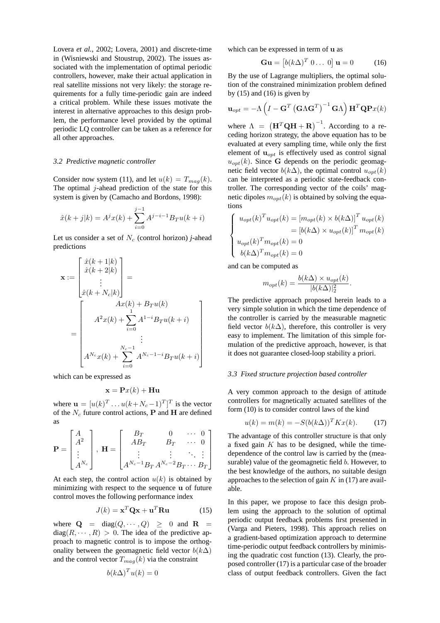Lovera *et al.*, 2002; Lovera, 2001) and discrete-time in (Wisniewski and Stoustrup, 2002). The issues associated with the implementation of optimal periodic controllers, however, make their actual application in real satellite missions not very likely: the storage requirements for a fully time-periodic gain are indeed a critical problem. While these issues motivate the interest in alternative approaches to this design problem, the performance level provided by the optimal periodic LQ controller can be taken as a reference for all other approaches.

#### *3.2 Predictive magnetic controller*

Consider now system (11), and let  $u(k) = T_{mag}(k)$ . The optimal  $j$ -ahead prediction of the state for this system is given by (Camacho and Bordons, 1998):

$$
\hat{x}(k+j|k) = A^{j}x(k) + \sum_{i=0}^{j-1} A^{j-i-1}B_{T}u(k+i)
$$

Let us consider a set of  $N_c$  (control horizon) *j*-ahead predictions

$$
\mathbf{x} := \begin{bmatrix} \hat{x}(k+1|k) \\ \hat{x}(k+2|k) \\ \vdots \\ \hat{x}(k+N_c|k) \end{bmatrix} =
$$
  
= 
$$
\begin{bmatrix} Ax(k) + B_T u(k) \\ A^2 x(k) + \sum_{i=0}^{1} A^{1-i} B_T u(k+i) \\ \vdots \\ A^{N_c} x(k) + \sum_{i=0}^{N_c-1} A^{N_c-1-i} B_T u(k+i) \end{bmatrix}
$$

which can be expressed as

$$
\mathbf{x} = \mathbf{P}x(k) + \mathbf{H}\mathbf{u}
$$

where  $\mathbf{u} = [u(k)^T \dots u(k+N_c-1)^T]^T$  is the vector of the  $N_c$  future control actions, **P** and **H** are defined as

$$
\mathbf{P} = \begin{bmatrix} A \\ A^2 \\ \vdots \\ A^{N_c} \end{bmatrix}, \ \mathbf{H} = \begin{bmatrix} B_T & 0 & \cdots & 0 \\ AB_T & B_T & \cdots & 0 \\ \vdots & \vdots & \ddots & \vdots \\ A^{N_c-1} B_T A^{N_c-2} B_T \cdots & B_T \end{bmatrix}
$$

At each step, the control action  $u(k)$  is obtained by minimizing with respect to the sequence u of future control moves the following performance index

$$
J(k) = \mathbf{x}^T \mathbf{Q} \mathbf{x} + \mathbf{u}^T \mathbf{R} \mathbf{u}
$$
 (15)

where  $Q = diag(Q, \dots, Q) \ge 0$  and  $R =$  $diag(R, \dots, R) > 0$ . The idea of the predictive approach to magnetic control is to impose the orthogonality between the geomagnetic field vector  $b(k\Delta)$ and the control vector  $T_{mag}(k)$  via the constraint

$$
b(k\Delta)^T u(k) = 0
$$

which can be expressed in term of u as

$$
\mathbf{G}\mathbf{u} = \left[b(k\Delta)^T \ 0 \dots \ 0\right] \mathbf{u} = 0 \tag{16}
$$

By the use of Lagrange multipliers, the optimal solution of the constrained minimization problem defined by  $(15)$  and  $(16)$  is given by

$$
\mathbf{u}_{opt} = -\Lambda \left( I - \mathbf{G}^T \left( \mathbf{G} \Lambda \mathbf{G}^T \right)^{-1} \mathbf{G} \Lambda \right) \mathbf{H}^T \mathbf{Q} \mathbf{P} x(k)
$$

where  $\Lambda = (\mathbf{H}^T \mathbf{Q} \mathbf{H} + \mathbf{R})^{-1}$ . According to a receding horizon strategy, the above equation has to be evaluated at every sampling time, while only the first element of  $\mathbf{u}_{opt}$  is effectively used as control signal  $u_{opt}(k)$ . Since G depends on the periodic geomagnetic field vector  $b(k\Delta)$ , the optimal control  $u_{opt}(k)$ can be interpreted as a periodic state-feedback controller. The corresponding vector of the coils' magnetic dipoles  $m_{opt}(k)$  is obtained by solving the equations

$$
\begin{cases}\nu_{opt}(k)^T u_{opt}(k) = [m_{opt}(k) \times b(k\Delta)]^T u_{opt}(k) \\
= [b(k\Delta) \times u_{opt}(k)]^T m_{opt}(k) \\
u_{opt}(k)^T m_{opt}(k) = 0 \\
b(k\Delta)^T m_{opt}(k) = 0\n\end{cases}
$$

and can be computed as

$$
m_{opt}(k) = \frac{b(k\Delta) \times u_{opt}(k)}{|b(k\Delta)|_2^2}.
$$

The predictive approach proposed herein leads to a very simple solution in which the time dependence of the controller is carried by the measurable magnetic field vector  $b(k\Delta)$ , therefore, this controller is very easy to implement. The limitation of this simple formulation of the predictive approach, however, is that it does not guarantee closed-loop stability a priori.

#### *3.3 Fixed structure projection based controller*

A very common approach to the design of attitude controllers for magnetically actuated satellites of the form (10) is to consider control laws of the kind

$$
u(k) = m(k) = -S(b(k\Delta))^T Kx(k).
$$
 (17)

The advantage of this controller structure is that only a fixed gain  $K$  has to be designed, while the timedependence of the control law is carried by the (measurable) value of the geomagnetic field  $b$ . However, to the best knowledge of the authors, no suitable design approaches to the selection of gain  $K$  in (17) are available.

In this paper, we propose to face this design problem using the approach to the solution of optimal periodic output feedback problems first presented in (Varga and Pieters, 1998). This approach relies on a gradient-based optimization approach to determine time-periodic output feedback controllers by minimising the quadratic cost function (13). Clearly, the proposed controller (17) is a particular case of the broader class of output feedback controllers. Given the fact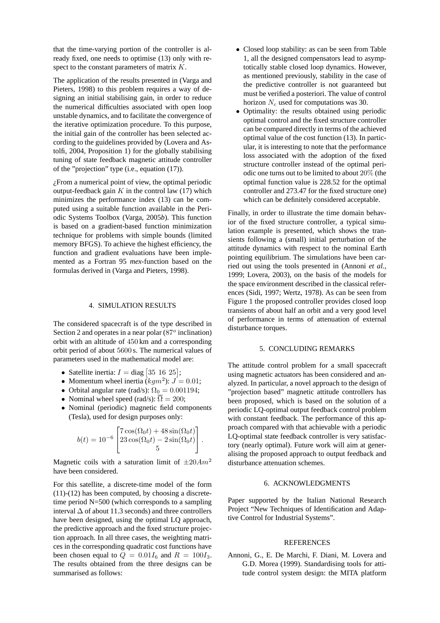that the time-varying portion of the controller is already fixed, one needs to optimise (13) only with respect to the constant parameters of matrix K.

The application of the results presented in (Varga and Pieters, 1998) to this problem requires a way of designing an initial stabilising gain, in order to reduce the numerical difficulties associated with open loop unstable dynamics, and to facilitate the convergence of the iterative optimization procedure. To this purpose, the initial gain of the controller has been selected according to the guidelines provided by (Lovera and Astolfi, 2004, Proposition 1) for the globally stabilising tuning of state feedback magnetic attitude controller of the "projection" type (i.e., equation (17)).

¿From a numerical point of view, the optimal periodic output-feedback gain  $K$  in the control law (17) which minimizes the performance index (13) can be computed using a suitable function available in the Periodic Systems Toolbox (Varga, 2005*b*). This function is based on a gradient-based function minimization technique for problems with simple bounds (limited memory BFGS). To achieve the highest efficiency, the function and gradient evaluations have been implemented as a Fortran 95 *mex*-function based on the formulas derived in (Varga and Pieters, 1998).

## 4. SIMULATION RESULTS

The considered spacecraft is of the type described in Section 2 and operates in a near polar  $(87<sup>o</sup>$  inclination) orbit with an altitude of 450 km and a corresponding orbit period of about 5600 s. The numerical values of parameters used in the mathematical model are:

- Satellite inertia:  $I = diag \begin{bmatrix} 35 & 16 & 25 \end{bmatrix}$ ;
- Momentum wheel inertia  $(kgm^2)$ :  $J = 0.01$ ;
- Orbital angular rate (rad/s):  $\Omega_0 = 0.001194$ ;
- Nominal wheel speed (rad/s):  $\overline{\Omega} = 200$ ;
- Nominal (periodic) magnetic field components (Tesla), used for design purposes only:

$$
b(t) = 10^{-6} \begin{bmatrix} 7\cos(\Omega_0 t) + 48\sin(\Omega_0 t) \\ 23\cos(\Omega_0 t) - 2\sin(\Omega_0 t) \\ 5 \end{bmatrix}.
$$

Magnetic coils with a saturation limit of  $\pm 20Am^2$ have been considered.

For this satellite, a discrete-time model of the form (11)-(12) has been computed, by choosing a discretetime period  $N=500$  (which corresponds to a sampling interval ∆ of about 11.3 seconds) and three controllers have been designed, using the optimal LQ approach, the predictive approach and the fixed structure projection approach. In all three cases, the weighting matrices in the corresponding quadratic cost functions have been chosen equal to  $Q = 0.01I_6$  and  $R = 100I_3$ . The results obtained from the three designs can be summarised as follows:

- Closed loop stability: as can be seen from Table 1, all the designed compensators lead to asymptotically stable closed loop dynamics. However, as mentioned previously, stability in the case of the predictive controller is not guaranteed but must be verified a posteriori. The value of control horizon  $N_c$  used for computations was 30.
- Optimality: the results obtained using periodic optimal control and the fixed structure controller can be compared directly in terms of the achieved optimal value of the cost function (13). In particular, it is interesting to note that the performance loss associated with the adoption of the fixed structure controller instead of the optimal periodic one turns out to be limited to about 20% (the optimal function value is 228.52 for the optimal controller and 273.47 for the fixed structure one) which can be definitely considered acceptable.

Finally, in order to illustrate the time domain behavior of the fixed structure controller, a typical simulation example is presented, which shows the transients following a (small) initial perturbation of the attitude dynamics with respect to the nominal Earth pointing equilibrium. The simulations have been carried out using the tools presented in (Annoni *et al.*, 1999; Lovera, 2003), on the basis of the models for the space environment described in the classical references (Sidi, 1997; Wertz, 1978). As can be seen from Figure 1 the proposed controller provides closed loop transients of about half an orbit and a very good level of performance in terms of attenuation of external disturbance torques.

## 5. CONCLUDING REMARKS

The attitude control problem for a small spacecraft using magnetic actuators has been considered and analyzed. In particular, a novel approach to the design of "projection based" magnetic attitude controllers has been proposed, which is based on the solution of a periodic LQ-optimal output feedback control problem with constant feedback. The performance of this approach compared with that achievable with a periodic LQ-optimal state feedback controller is very satisfactory (nearly optimal). Future work will aim at generalising the proposed approach to output feedback and disturbance attenuation schemes.

#### 6. ACKNOWLEDGMENTS

Paper supported by the Italian National Research Project "New Techniques of Identification and Adaptive Control for Industrial Systems".

## **REFERENCES**

Annoni, G., E. De Marchi, F. Diani, M. Lovera and G.D. Morea (1999). Standardising tools for attitude control system design: the MITA platform